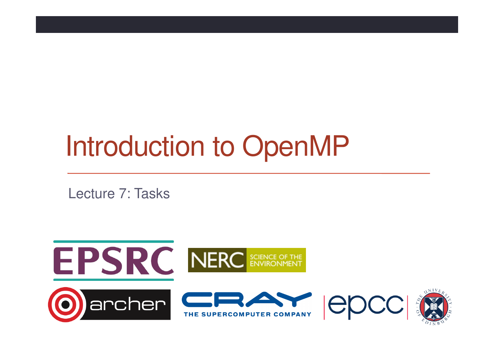# Introduction to OpenMP

Lecture 7: Tasks

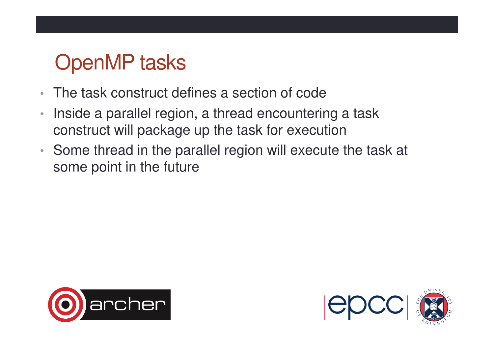## OpenMP tasks

- •The task construct defines a section of code
- • Inside a parallel region, a thread encountering a task construct will package up the task for execution
- • Some thread in the parallel region will execute the task at some point in the future



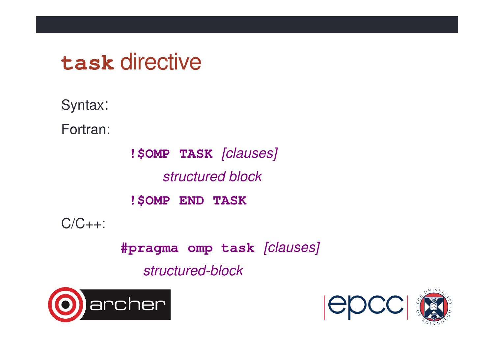# **task** directive

Syntax:

Fortran:

**!\$OMP TASK** [clauses]structured block**!\$OMP END TASK**

 $C/C_{++}$ :

**#pragma omp task** [clauses]

structured-block



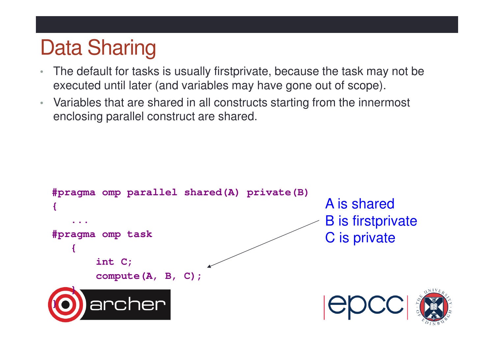# Data Sharing

- The default for tasks is usually firstprivate, because the task may not be •executed until later (and variables may have gone out of scope).
- Variables that are shared in all constructs starting from the innermost enclosing parallel construct are shared.

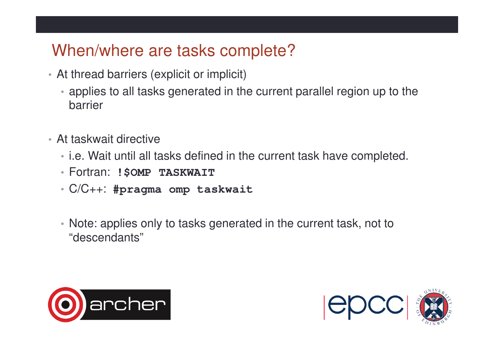### When/where are tasks complete?

- At thread barriers (explicit or implicit)
	- applies to all tasks generated in the current parallel region up to the barrier
- At taskwait directive
	- i.e. Wait until all tasks defined in the current task have completed.
	- Fortran: **!\$OMP TASKWAIT**
	- C/C++: **#pragma omp taskwait**
	- Note: applies only to tasks generated in the current task, not to "descendants"



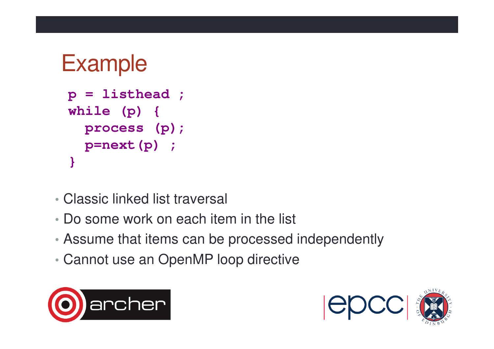```
Examplep = listhead ;while (p) { 
process (p);p=next(p) ;}
```
- •Classic linked list traversal
- Do some work on each item in the list
- Assume that items can be processed independently
- •Cannot use an OpenMP loop directive



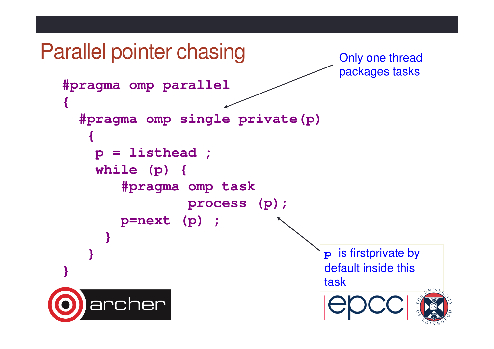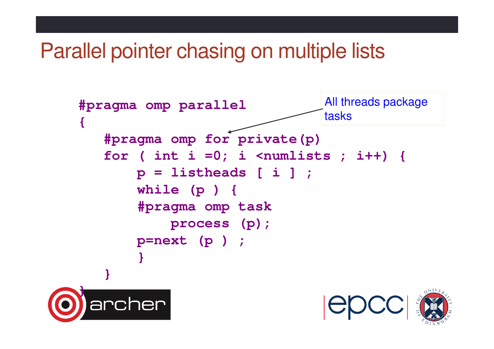## Parallel pointer chasing on multiple lists

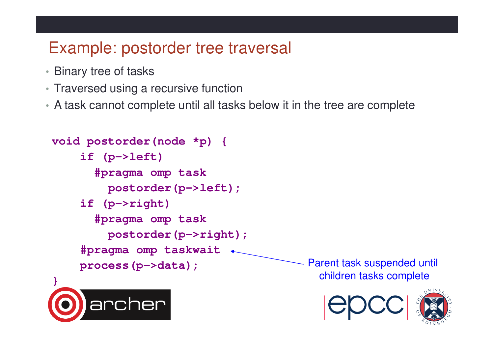### Example: postorder tree traversal

- Binary tree of tasks
- Traversed using a recursive function

rcher

• A task cannot complete until all tasks below it in the tree are complete

```
void postorder(node *p) {if (p->left)
#pragma omp task
postorder(p->left);if (p->right)
#pragma omp taskpostorder(p->right);#pragma omp taskwaitprocess(p->data);}Parent task suspended until children tasks complete
```
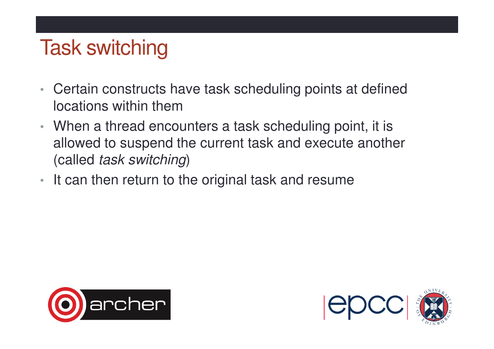## Task switching

- • Certain constructs have task scheduling points at defined locations within them
- When a thread encounters a task scheduling point, it is allowed to suspend the current task and execute another (called task switching)
- It can then return to the original task and resume



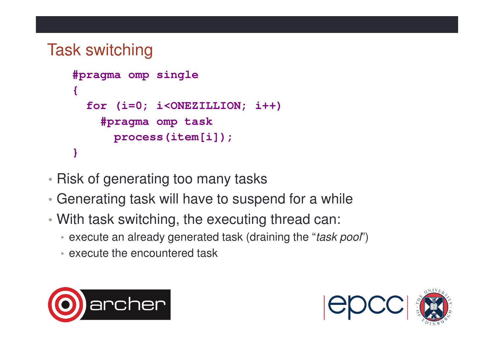### Task switching

```
#pragma omp single{for (i=0; i<ONEZILLION; i++)#pragma omp task
process(item[i]);}
```
- Risk of generating too many tasks
- •Generating task will have to suspend for a while
- With task switching, the executing thread can:
	- execute an already generated task (draining the "*task pool*")
	- execute the encountered task



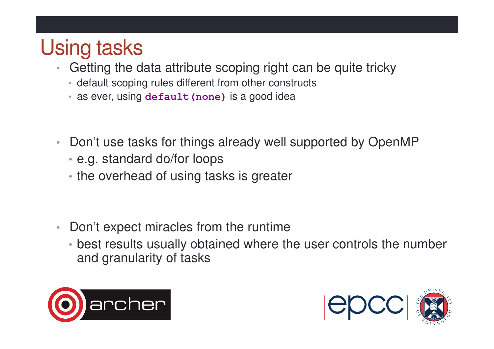# Using tasks

- Getting the data attribute scoping right can be quite tricky•
	- default scoping rules different from other constructs
	- as ever, using **default(none)** is a good idea
- • Don't use tasks for things already well supported by OpenMP
	- e.g. standard do/for loops
	- the overhead of using tasks is greater
- $\bullet$  Don't expect miracles from the runtime
	- best results usually obtained where the user controls the number and granularity of tasks